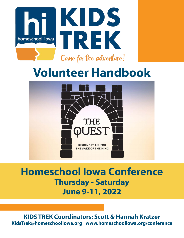

### **Volunteer Handbook**



### **Homeschool Iowa Conference Thursday - Saturday June 9-11, 2022**

**KIDS TREK Coordinators: Scott & Hannah Kratzer KidsTrek@homeschooliowa.org | www.homeschooliowa.org/conference**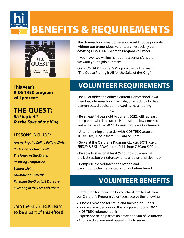## BENEFITS & REQUIREMENTS



his de la proposa de la proposa de la proposa de la proposa de la proposa de la proposa de la proposa de la proposa de la proposa de la proposa de la proposa de la proposa de la proposa de la proposa de la proposa de la pr **homeschool iowa**

> **This year's KIDS TREK program will present:**

**THE QUEST:**  *Risking It All for the Sake of the King*

#### **LESSONS INCLUDE:**

*Answering the Call to Follow Christ Pride Goes Before a Fall The Heart of the Matter Resisting Temptation Selfless Living Grumble or Grateful Pursuing the Greatest Treasure Investing in the Lives of Others*

Join the KIDS TREK Team to be a part of this effort! The Homeschool Iowa Conference would not be possible without our tremendous volunteers – especially our *amazing* KIDS TREK Children's Program volunteers!

If you have two willing hands and a servant's heart, we want you to join our team!

Our KIDS TREK Children's Program theme this year is "The Quest: Risking It All for the Sake of the King."

### **VOLUNTEER REQUIREMENTS**

• Be 18 or older and either a current Homeschool Iowa member, a homeschool graduate, or an adult who has demonstrated dedication toward homeschooling

*OR* 

• Be at least 14 years old by June 1, 2022, with at least one parent who is a current Homeschool Iowa member and will attend the 2022 Homeschool Iowa Conference

• Attend training and assist with KIDS TREK setup on THURSDAY, June 9, from 11:00am-5:00pm.

- Serve at the Children's Program ALL day, BOTH days, FRIDAY & SATURDAY, June 10-11, from 7:30am-5:00pm.
- $\cdot$  Be able to stay for at least  $\frac{1}{2}$  hour past the end of the last session on Saturday for tear-down and clean-up
- Complete the volunteer application and background check application on or before June 1.

### **VOLUNTEER BENEFITS**

In gratitude for service to homeschool families of Iowa, our Children's Program Volunteers receive the following :

- Lunches provided for setup and training on June 9
- Lunches provided during the program on June 10-11
- KIDS TREK volunteer t-shirt
- Experience being part of an amazing team of volunteers
- A fun-packed weekend opportunity to serve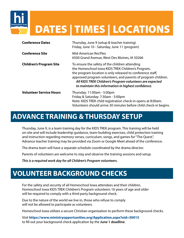# DATES | TIMES | LOCATIONS

| <b>Conference Dates</b>        | Thursday, June 9 (setup & teacher training)<br>Friday, June 10 - Saturday, June 11 (program)                                                                                                                                                                                                                                                          |
|--------------------------------|-------------------------------------------------------------------------------------------------------------------------------------------------------------------------------------------------------------------------------------------------------------------------------------------------------------------------------------------------------|
| <b>Conference Site</b>         | Mid-American RecPlex<br>6500 Grand Avenue, West Des Moines, IA 50266                                                                                                                                                                                                                                                                                  |
| <b>Children's Program Site</b> | To ensure the safety of the children attending<br>the Homeschool Iowa KIDS TREK Children's Program,<br>the program location is only released to conference staff,<br>approved program volunteers, and parents of program children.<br>All KIDS TREK Children's Program volunteers are expected<br>to maintain this information in highest confidence. |
| <b>Volunteer Service Hours</b> | Thursday: 11:00am - 5:00pm<br>Friday & Saturday: 7:30am - 5:00pm<br>Note: KIDS TREK child registration check-in opens at 8:00am.<br>Volunteers should arrive 30 minutes before child check-in begins.                                                                                                                                                 |

### **ADVANCE TRAINING & THURSDAY SETUP**

his de la proposa de la proposa de la proposa de la proposa de la proposa de la proposa de la proposa de la pr<br>De la proposa de la proposa de la proposa de la proposa de la proposa de la proposa de la proposa de la propos<br>

Thursday, June 9, is a team training day for the KIDS TREK program. This training will be held on-site and will include leadership guidance, team-building exercises, child protection training and instruction regarding memory verses, curriculum, songs, and games for "The Quest.". Advance teacher training may be provided via Zoom or Google Meet ahead of the conference.

The drama team will have a separate schedule coordinated by the drama director.

Parents of volunteers are welcome to stay and observe the training sessions and setup.

*This is a required work day for all Children's Program volunteers.* 

### **VOLUNTEER BACKGROUND CHECKS**

For the safety and security of all Homeschool Iowa attendees and their children, Homeschool Iowa KIDS TREK Children's Program volunteers 16 years of age and older will be required to comply with a third party background check.

Due to the nature of the world we live in, those who refuse to comply will not be allowed to participate as volunteers.

Homeschool Iowa utilizes a secure Christian organization to perform these background checks.

Visit **<https://www.ministryopportunities.org/Application.aspx?oid=30015>** to fill out your background check application by the **June 1 deadline**.